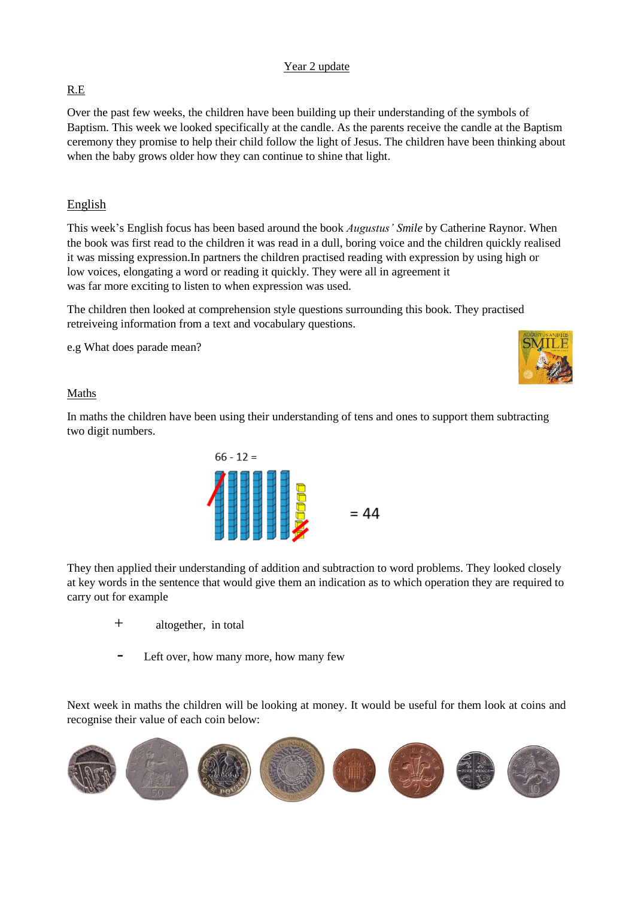## Year 2 update

## R.E

Over the past few weeks, the children have been building up their understanding of the symbols of Baptism. This week we looked specifically at the candle. As the parents receive the candle at the Baptism ceremony they promise to help their child follow the light of Jesus. The children have been thinking about when the baby grows older how they can continue to shine that light.

# English

This week's English focus has been based around the book *Augustus' Smile* by Catherine Raynor. When the book was first read to the children it was read in a dull, boring voice and the children quickly realised it was missing expression.In partners the children practised reading with expression by using high or low voices, elongating a word or reading it quickly. They were all in agreement it was far more exciting to listen to when expression was used.

The children then looked at comprehension style questions surrounding this book. They practised retreiveing information from a text and vocabulary questions.

e.g What does parade mean?



## Maths

In maths the children have been using their understanding of tens and ones to support them subtracting two digit numbers.



They then applied their understanding of addition and subtraction to word problems. They looked closely at key words in the sentence that would give them an indication as to which operation they are required to carry out for example

- + altogether, in total
- Left over, how many more, how many few

Next week in maths the children will be looking at money. It would be useful for them look at coins and recognise their value of each coin below: